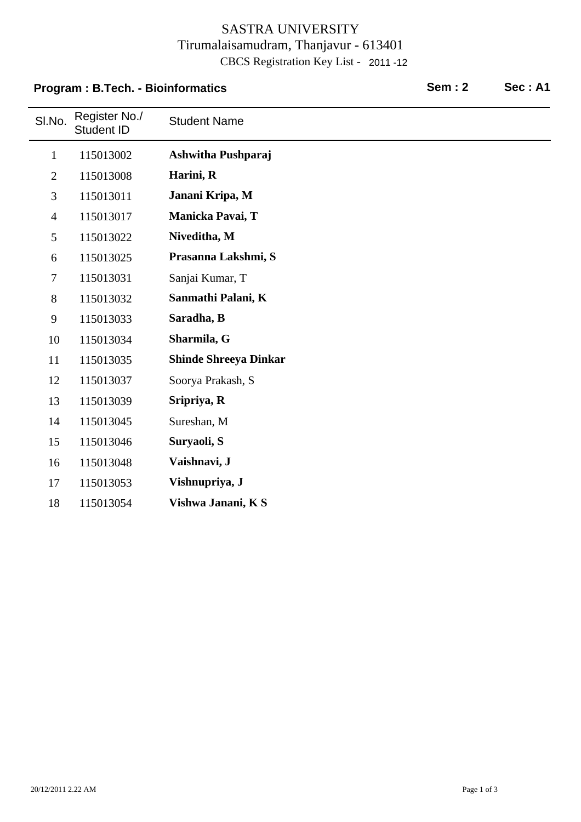### SASTRA UNIVERSITY Tirumalaisamudram, Thanjavur - 613401 CBCS Registration Key List - 2011 -12

# SI.No. Register No./<br>Student ID **Student Name Program : B.Tech. - Bioinformatics Sem : 2 Sec : A1** 1 115013002 **Ashwitha Pushparaj** 2 115013008 **Harini, R** 3 115013011 **Janani Kripa, M** 4 115013017 **Manicka Pavai, T** 5 115013022 **Niveditha, M** 6 115013025 **Prasanna Lakshmi, S** 7 Sanjai Kumar, T 115013031 8 115013032 **Sanmathi Palani, K** 9 115013033 **Saradha, B** 10 115013034 **Sharmila, G** 11 115013035 **Shinde Shreeya Dinkar** 12 115013037 Soorya Prakash, S 13 115013039 **Sripriya, R** 14 115013045 Sureshan, M 15 115013046 **Suryaoli, S** 16 115013048 **Vaishnavi, J** 17 115013053 **Vishnupriya, J** 18 115013054 **Vishwa Janani, K S**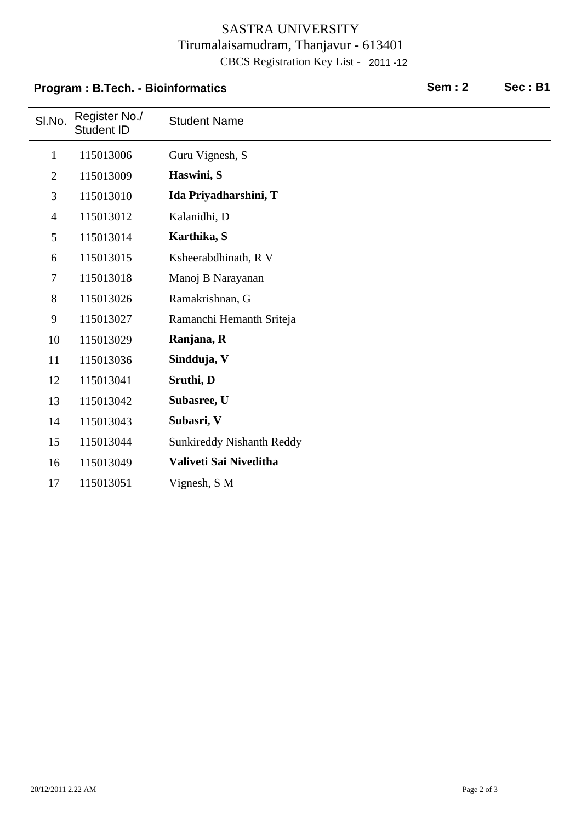### SASTRA UNIVERSITY Tirumalaisamudram, Thanjavur - 613401 CBCS Registration Key List - 2011 -12

|                | <b>Program: B.Tech. - Bioinformatics</b> | <b>Sem: 2</b>                    | Sec: B1 |  |
|----------------|------------------------------------------|----------------------------------|---------|--|
| SI.No.         | Register No./<br>Student ID              | <b>Student Name</b>              |         |  |
| $\mathbf{1}$   | 115013006                                | Guru Vignesh, S                  |         |  |
| $\mathbf{2}$   | 115013009                                | Haswini, S                       |         |  |
| 3              | 115013010                                | Ida Priyadharshini, T            |         |  |
| $\overline{4}$ | 115013012                                | Kalanidhi, D                     |         |  |
| 5              | 115013014                                | Karthika, S                      |         |  |
| 6              | 115013015                                | Ksheerabdhinath, R V             |         |  |
| $\tau$         | 115013018                                | Manoj B Narayanan                |         |  |
| 8              | 115013026                                | Ramakrishnan, G                  |         |  |
| 9              | 115013027                                | Ramanchi Hemanth Sriteja         |         |  |
| 10             | 115013029                                | Ranjana, R                       |         |  |
| 11             | 115013036                                | Sindduja, V                      |         |  |
| 12             | 115013041                                | Sruthi, D                        |         |  |
| 13             | 115013042                                | Subasree, U                      |         |  |
| 14             | 115013043                                | Subasri, V                       |         |  |
| 15             | 115013044                                | <b>Sunkireddy Nishanth Reddy</b> |         |  |
| 16             | 115013049                                | Valiveti Sai Niveditha           |         |  |
| 17             | 115013051                                | Vignesh, S M                     |         |  |